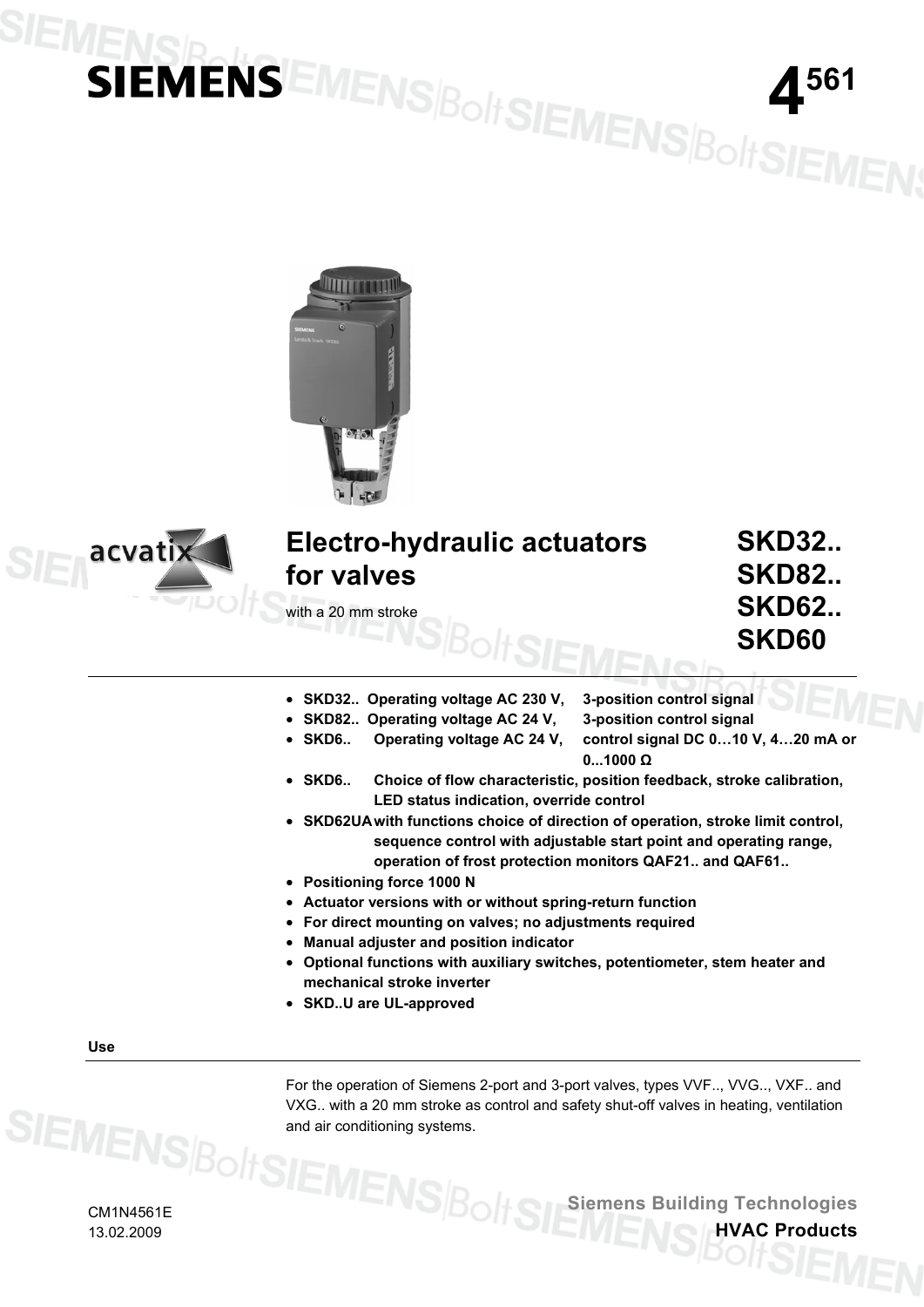## SIE **IENSIE MENSEMENS BOLISIEMENS BOLISIEMENS**





### **Electro-hydraulic actuators for valves**

with a 20 mm stroke

**SKD32.. SKD82.. SKD62.. SKD60** 

- **SKD32.. Operating voltage AC 230 V, 3-position control signal**
- **SKD82.. Operating voltage AC 24 V, 3-position control signal** 
	- **SKD6.. Operating voltage AC 24 V, control signal DC 0…10 V, 4…20 mA or**
- - **0...1000 Ω**
- **SKD6.. Choice of flow characteristic, position feedback, stroke calibration, LED status indication, override control**
- **SKD62UA with functions choice of direction of operation, stroke limit control, sequence control with adjustable start point and operating range, operation of frost protection monitors QAF21.. and QAF61..**
- **Positioning force 1000 N**
- **Actuator versions with or without spring-return function**
- **For direct mounting on valves; no adjustments required**
- **Manual adjuster and position indicator**
- **Optional functions with auxiliary switches, potentiometer, stem heater and mechanical stroke inverter**
- **SKD..U are UL-approved**

**Use** 

For the operation of Siemens 2-port and 3-port valves, types VVF.., VVG.., VXF.. and VXG.. with a 20 mm stroke as control and safety shut-off valves in heating, ventilation and air conditioning systems.

CM1N4561E 13.02.2009

**Siemens Building Technologies**

**HVAC Products**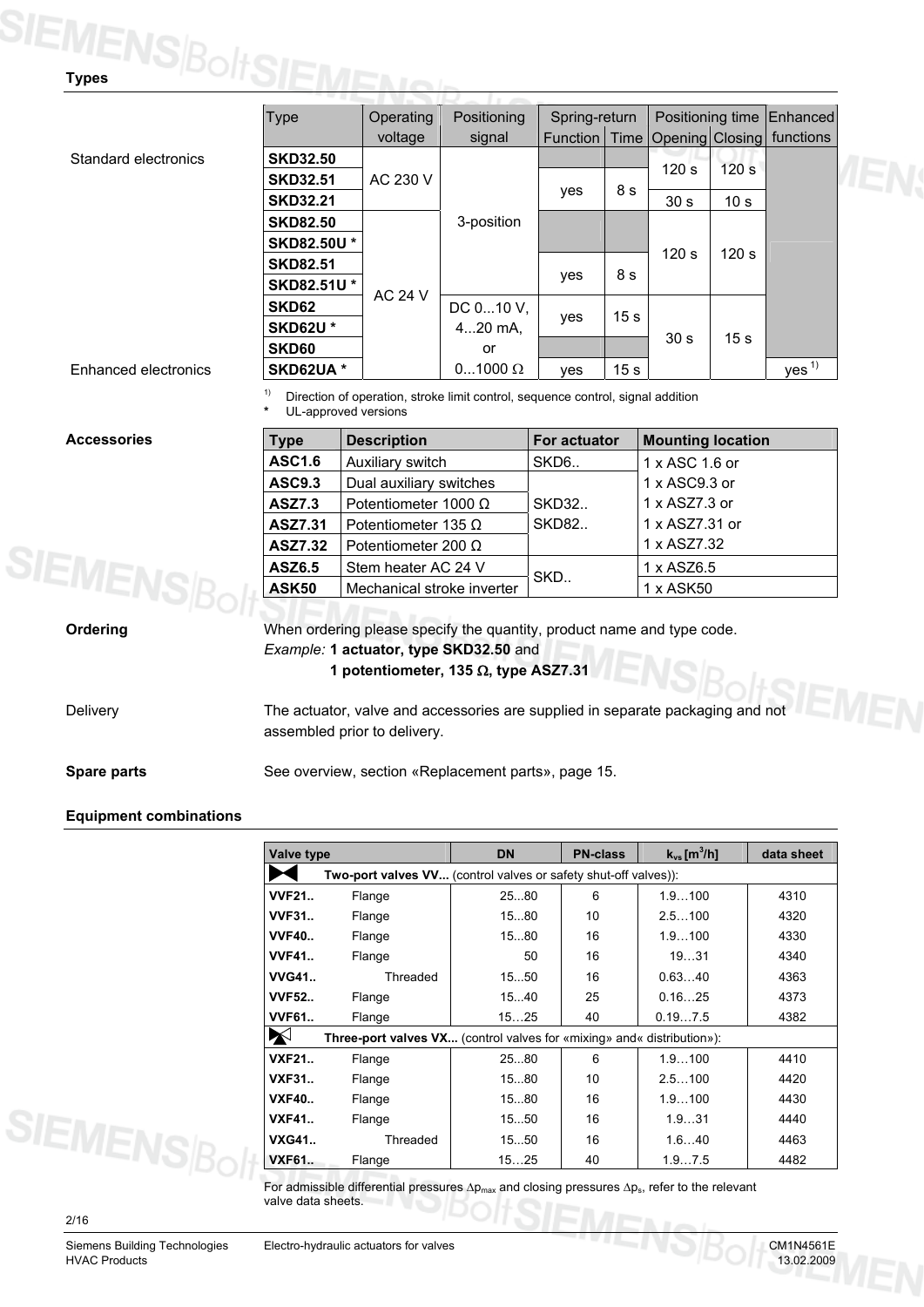## **TEMENS Bolt SIEMEN**

| Type              | Operating      | Positioning    | Spring-return   |                 | Positioning time |                  | <b>Enhanced</b>  |
|-------------------|----------------|----------------|-----------------|-----------------|------------------|------------------|------------------|
|                   | voltage        | signal         | <b>Function</b> | <b>Time</b>     | Opening Closing  |                  | functions        |
| <b>SKD32.50</b>   |                |                |                 |                 |                  |                  |                  |
| <b>SKD32.51</b>   | AC 230 V       |                |                 |                 | 120s             | 120 <sub>s</sub> |                  |
| <b>SKD32.21</b>   |                |                | yes             | 8 s             | 30 <sub>s</sub>  | 10 <sub>s</sub>  |                  |
| <b>SKD82.50</b>   |                | 3-position     |                 |                 |                  |                  |                  |
| <b>SKD82.50U*</b> |                |                |                 |                 |                  |                  |                  |
| <b>SKD82.51</b>   |                |                |                 |                 | 120 s            | 120 <sub>s</sub> |                  |
| <b>SKD82.51U*</b> |                |                | yes             | 8 s             |                  |                  |                  |
| SKD62             | <b>AC 24 V</b> | DC 010 V,      |                 |                 |                  |                  |                  |
| <b>SKD62U*</b>    |                | $420$ mA.      | yes             | 15 <sub>s</sub> |                  |                  |                  |
| SKD60             |                | or             |                 |                 | 30 <sub>s</sub>  | 15 <sub>s</sub>  |                  |
| SKD62UA *         |                | $01000 \Omega$ | ves             | 15 <sub>s</sub> |                  |                  | yes <sup>1</sup> |

### **Enhanced electronics**

Standard electronics

 $1)$  Direction of operation, stroke limit control, sequence control, signal addition

UL-approved versions

### **Accessories**

| <b>Type</b>    | <b>Description</b>          | <b>For actuator</b> | <b>Mounting location</b> |
|----------------|-----------------------------|---------------------|--------------------------|
| <b>ASC1.6</b>  | Auxiliary switch            | SKD <sub>6</sub> .  | 1 x ASC 1.6 or           |
| <b>ASC9.3</b>  | Dual auxiliary switches     |                     | 1 x ASC9.3 or            |
| <b>ASZ7.3</b>  | Potentiometer 1000 $\Omega$ | <b>SKD32</b>        | 1 x ASZ7.3 or            |
| ASZ7.31        | Potentiometer 135 $\Omega$  | <b>SKD82</b>        | 1 x ASZ7.31 or           |
| <b>ASZ7.32</b> | Potentiometer 200 $\Omega$  |                     | 1 x ASZ7.32              |
| <b>ASZ6.5</b>  | Stem heater AC 24 V         | SKD                 | 1 x ASZ6.5               |
| <b>ASK50</b>   | Mechanical stroke inverter  |                     | 1 x ASK50                |

### **Ordering**

**SIEMENS**Bol

When ordering please specify the quantity, product name and type code. *Example:* **1 actuator, type SKD32.50** and

**1 potentiometer, 135** Ω**, type ASZ7.31**

Delivery

The actuator, valve and accessories are supplied in separate packaging and not assembled prior to delivery.

### **Spare parts**

See overview, section «Replacement parts», page 15.

### **Equipment combinations**

| <b>Valve type</b> |                                                                               | <b>DN</b> | <b>PN-class</b> | $k_{vs}$ [m <sup>3</sup> /h] | data sheet |  |  |  |  |
|-------------------|-------------------------------------------------------------------------------|-----------|-----------------|------------------------------|------------|--|--|--|--|
|                   | Two-port valves VV (control valves or safety shut-off valves)):               |           |                 |                              |            |  |  |  |  |
| <b>VVF21</b>      | Flange                                                                        | 2580      | 6               | 1.9100                       | 4310       |  |  |  |  |
| <b>VVF31</b>      | Flange                                                                        | 1580      | 10              | 2.5100                       | 4320       |  |  |  |  |
| <b>VVF40</b>      | Flange                                                                        | 1580      | 16              | 1.9100                       | 4330       |  |  |  |  |
| <b>VVF41</b>      | Flange                                                                        | 50        | 16              | 1931                         | 4340       |  |  |  |  |
| <b>WG41</b>       | Threaded                                                                      | 1550      | 16              | 0.6340                       | 4363       |  |  |  |  |
| <b>VVF52</b>      | Flange                                                                        | 1540      | 25              | 0.1625                       | 4373       |  |  |  |  |
| <b>VVF61</b>      | Flange                                                                        | 1525      | 40              | 0.197.5                      | 4382       |  |  |  |  |
| X                 | <b>Three-port valves VX</b> (control valves for «mixing» and« distribution»): |           |                 |                              |            |  |  |  |  |
| <b>VXF21</b>      | Flange                                                                        | 2580      | 6               | 1.9100                       | 4410       |  |  |  |  |
| <b>VXF31</b>      | Flange                                                                        | 1580      | 10              | 2.5100                       | 4420       |  |  |  |  |
| <b>VXF40</b>      | Flange                                                                        | 1580      | 16              | 1.9100                       | 4430       |  |  |  |  |
| <b>VXF41</b>      | Flange                                                                        | 1550      | 16              | 1.931                        | 4440       |  |  |  |  |
| <b>VXG41</b>      | Threaded                                                                      | 1550      | 16              | 1.640                        | 4463       |  |  |  |  |
| <b>VXF61</b>      | Flange                                                                        | 1525      | 40              | 1.97.5                       | 4482       |  |  |  |  |

For admissible differential pressures  $\Delta p_{max}$  and closing pressures  $\Delta p_s$ , refer to the relevant valve data sheets.

### 2/16

**SIEMENS**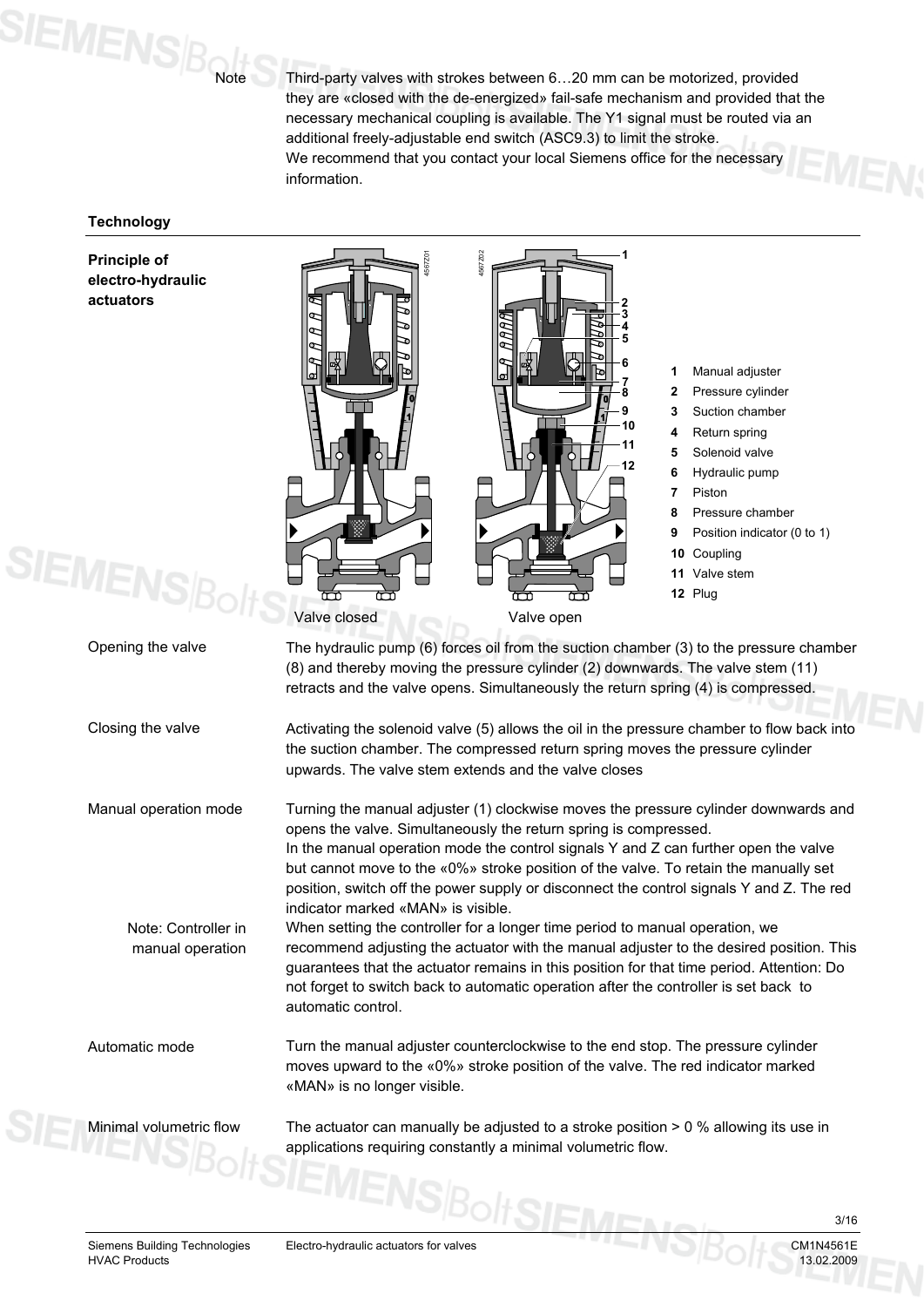$\mathbf{S}$ IEMENS $\beta_{\mathsf{N}^\mathsf{M}}$ 

Third-party valves with strokes between 6…20 mm can be motorized, provided they are «closed with the de-energized» fail-safe mechanism and provided that the necessary mechanical coupling is available. The Y1 signal must be routed via an additional freely-adjustable end switch (ASC9.3) to limit the stroke. We recommend that you contact your local Siemens office for the necessary information.

### **Technology**

**Principle of electro-hydraulic actuators** 



Siemens Building Technologies Electro-hydraulic actuators for valves CM1N4561E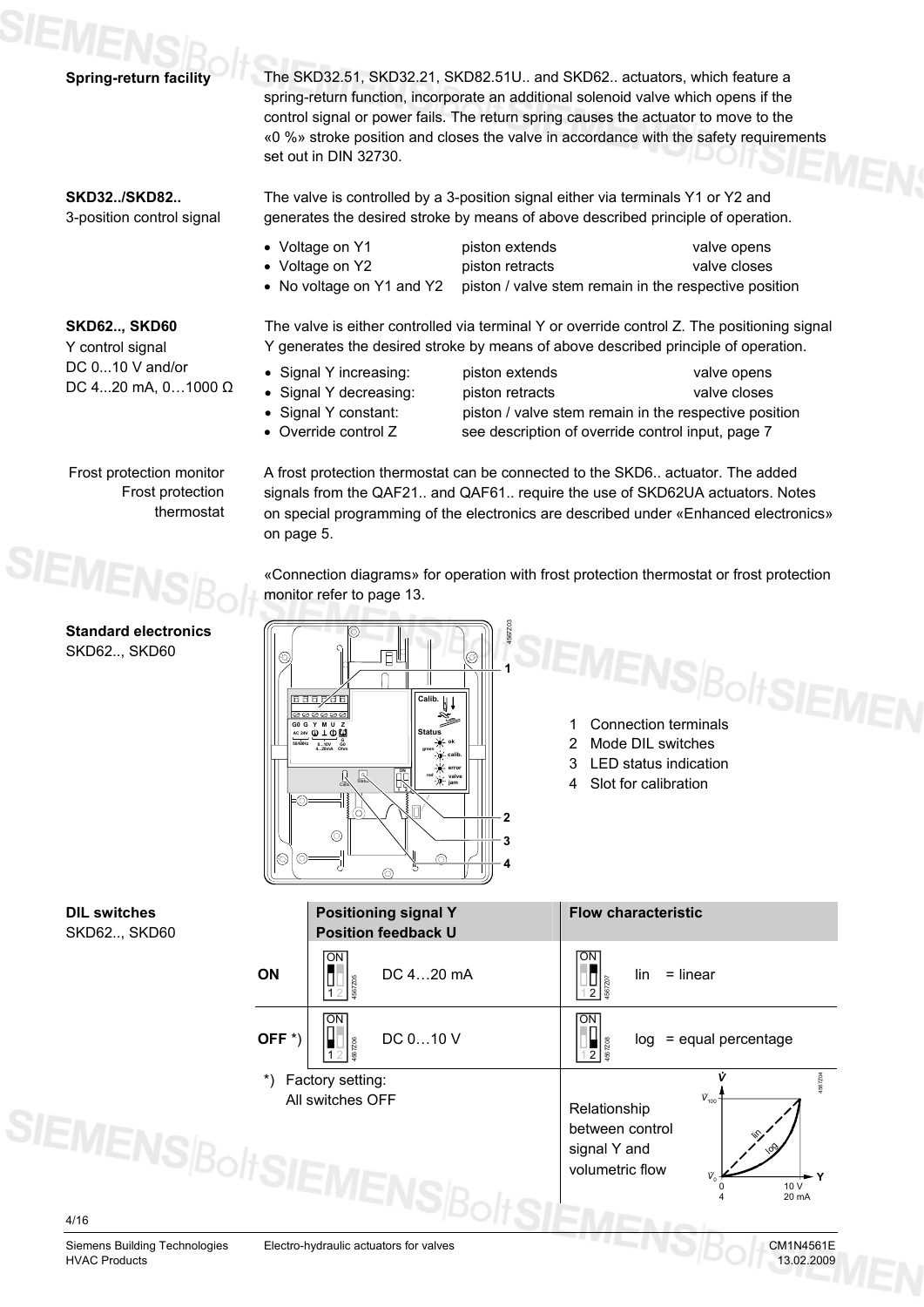The SKD32.51, SKD32.21, SKD82.51U.. and SKD62.. actuators, which feature a spring-return function, incorporate an additional solenoid valve which opens if the control signal or power fails. The return spring causes the actuator to move to the «0 %» stroke position and closes the valve in accordance with the safety requirements

### **SKD32../SKD82..**  3-position control signal

**SKD62.., SKD60**  Y control signal DC 0...10 V and/or DC 4...20 mA, 0…1000 Ω

**Spring-return facility** 

The valve is controlled by a 3-position signal either via terminals Y1 or Y2 and generates the desired stroke by means of above described principle of operation.

• Voltage on Y1 piston extends valve opens

set out in DIN 32730.

- 
- No voltage on Y1 and Y2 piston / valve stem remain in the respective position

• Voltage on Y2 piston retracts valve closes

The valve is either controlled via terminal Y or override control Z. The positioning signal Y generates the desired stroke by means of above described principle of operation.

A frost protection thermostat can be connected to the SKD6.. actuator. The added signals from the QAF21.. and QAF61.. require the use of SKD62UA actuators. Notes on special programming of the electronics are described under «Enhanced electronics»

«Connection diagrams» for operation with frost protection thermostat or frost protection

4567Z03

**1**

**2 3 4**

**ok calib. error valve jam**

 $h1$ 

**green red**

**ON 1 2**

ര

**Status**

**Calib.**

- Signal Y increasing: piston extends valve opens
- 
- 

monitor refer to page 13.

Calib. Status

 $\circledcirc$ 

**0...10V 4...20mA Ohm G0 G Y M U Z AC 24V 50/60Hz <sup>G</sup> G0**

on page 5.

 $\widehat{\infty}$ 

• Signal Y decreasing: piston retracts valve closes • Signal Y constant: piston / valve stem remain in the respective position • Override control Z see description of override control input, page 7

Frost protection monitor Frost protection thermostat



### **Standard electronics** SKD62.., SKD60

**EMENS Bolt SIEMEN** 

- 2 Mode DIL switches
- 3 LED status indication
- 4 Slot for calibration

**DIL switches** SKD62.., SKD60

**SIEMENSB** 

|                    | <b>Positioning signal Y</b><br><b>Position feedback U</b> | <b>Flow characteristic</b>                                                                                  |
|--------------------|-----------------------------------------------------------|-------------------------------------------------------------------------------------------------------------|
| ON                 | OΝ<br>DC 420 mA                                           | ON<br>$=$ linear<br>lin                                                                                     |
| OFF <sup>*</sup> ) | ΩN<br>DC 010 V                                            | ON<br>$log =$ equal percentage<br>567Z08                                                                    |
| $^{\ast}$          | Factory setting:<br>All switches OFF                      | 4567204<br>$V_{100}$<br>Relationship<br>between control<br>signal Y and<br>volumetric flow<br>10 V<br>20 mA |

4/16

Siemens Building Technologies Electro-hydraulic actuators for valves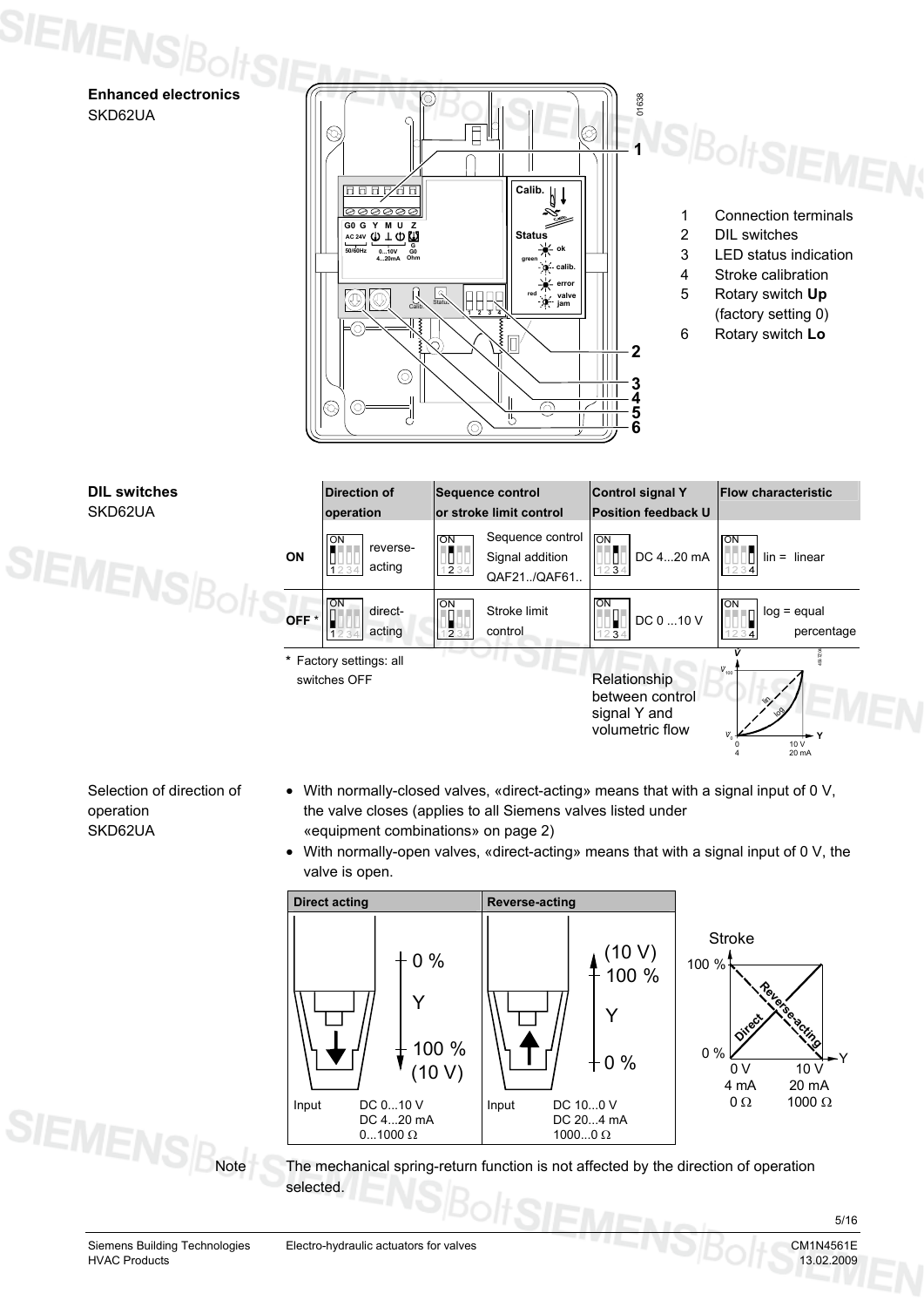**Enhanced electronics**  SKD62UA

SIEMENS $\beta_{\text{O}}$ 



- 1 Connection terminals
- 2 DIL switches
- 3 LED status indication
- 4 Stroke calibration
- 5 Rotary switch **Up**
	- (factory setting 0)





Selection of direction of operation SKD62UA

- With normally-closed valves, «direct-acting» means that with a signal input of 0 V, the valve closes (applies to all Siemens valves listed under «equipment combinations» on page 2)
- With normally-open valves, «direct-acting» means that with a signal input of 0 V, the valve is open.



The mechanical spring-return function is not affected by the direction of operation selected.

**SIEMENS**<sub>Rote</sub>

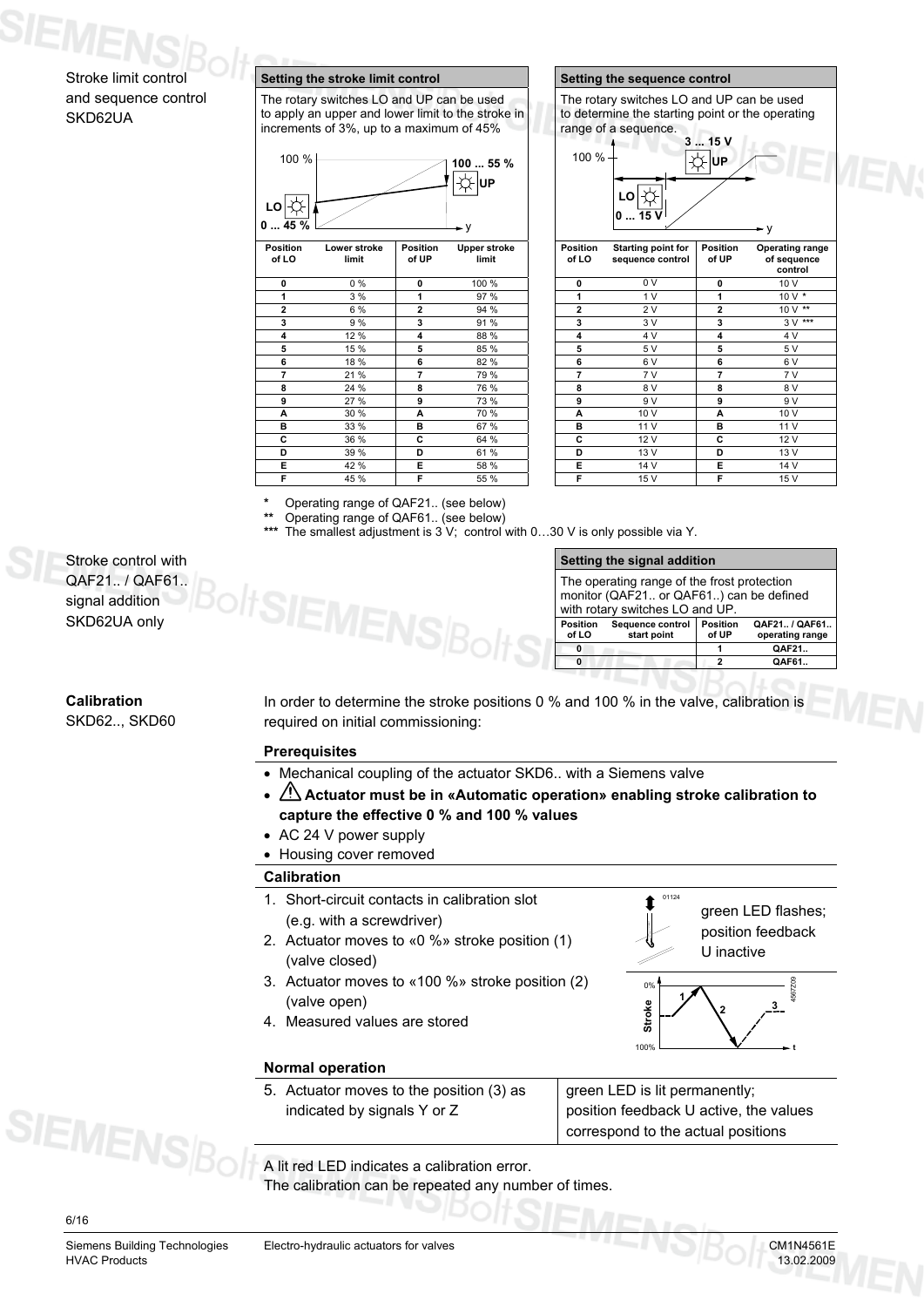### Stroke limit control and sequence control SKD62UA

### **Setting the stroke limit control Setting the sequence control**

The rotary switches LO and UP can be used to apply an upper and lower limit to the stroke in increments of 3%, up to a maximum of 45%



| of LO          | limit | of UP          | $-$ pp $ -$<br>limit | .<br>of LO     | sequence control | of UP          | --------- <u>-</u><br>of seque<br>contr |
|----------------|-------|----------------|----------------------|----------------|------------------|----------------|-----------------------------------------|
| 0              | 0%    | $\mathbf 0$    | 100 %                | 0              | 0 V              | $\mathbf 0$    | 10 V                                    |
|                | 3%    | 1              | 97 %                 | 1              | 1 <sub>V</sub>   | 1              | 10 V                                    |
| $\overline{2}$ | 6 %   | $\overline{2}$ | 94 %                 | $\overline{2}$ | 2V               | $\overline{2}$ | 10 V                                    |
| 3              | 9 %   | 3              | 91 %                 | 3              | 3 V              | 3              | 3V                                      |
| 4              | 12 %  | 4              | 88 %                 | 4              | 4 V              | 4              | 4 V                                     |
| 5              | 15 %  | 5              | 85 %                 | 5              | 5 V              | 5              | 5 V                                     |
| 6              | 18 %  | 6              | 82 %                 | 6              | 6V               | 6              | 6 V                                     |
| 7              | 21 %  | 7              | 79 %                 | 7              | 7 V              | 7              | 7 V                                     |
| 8              | 24 %  | 8              | 76 %                 | 8              | 8 V              | 8              | 8 V                                     |
| 9              | 27 %  | 9              | 73 %                 | 9              | 9 V              | 9              | 9 V                                     |
| A              | 30 %  | A              | 70 %                 | A              | 10 V             | A              | 10 V                                    |
| в              | 33 %  | в              | 67 %                 | в              | 11 V             | в              | 11 V                                    |
| С              | 36 %  | c              | 64 %                 | c              | 12 V             | C              | 12 V                                    |
| D              | 39 %  | D              | 61%                  | D              | 13 V             | D              | 13 V                                    |
| Е              | 42 %  | Е              | 58 %                 | Е              | 14 V             | Е              | 14 V                                    |
| F              | 45 %  | F              | 55 %                 | F              | 15V              | F              | 15V                                     |

|                          | Setting the sequence control                                                                                          |                          |                                           |
|--------------------------|-----------------------------------------------------------------------------------------------------------------------|--------------------------|-------------------------------------------|
|                          | The rotary switches LO and UP can be used<br>to determine the starting point or the operating<br>range of a sequence. |                          |                                           |
|                          |                                                                                                                       | 315V                     |                                           |
| 100 %                    |                                                                                                                       | UP                       |                                           |
|                          | 15V                                                                                                                   |                          |                                           |
|                          |                                                                                                                       |                          | ۰v                                        |
| <b>Position</b><br>of LO | Starting point for<br>sequence control                                                                                | <b>Position</b><br>of UP | Operating range<br>of sequence<br>control |
| 0                        | 0 V                                                                                                                   | 0                        | 10 V                                      |
|                          |                                                                                                                       |                          |                                           |

|   |       |                |       |                         |      |                | control |
|---|-------|----------------|-------|-------------------------|------|----------------|---------|
| 0 | $0\%$ | $\mathbf 0$    | 100 % | 0                       | 0 V  | 0              | 10 V    |
| 1 | 3 %   | 1              | 97 %  | 1                       | 1V   |                | 10 V *  |
| 2 | 6 %   | $\overline{2}$ | 94 %  | $\overline{\mathbf{c}}$ | 2 V  | $\overline{2}$ | 10 V ** |
| 3 | 9 %   | 3              | 91 %  | 3                       | 3 V  | 3              | 3 V *** |
| 4 | 12 %  | 4              | 88 %  | 4                       | 4 V  | 4              | 4 V     |
| 5 | 15 %  | 5              | 85 %  | 5                       | 5 V  | 5              | 5 V     |
| 6 | 18 %  | 6              | 82 %  | 6                       | 6V   | 6              | 6V      |
| 7 | 21 %  | 7              | 79 %  | 7                       | 7 V  | 7              | 7 V     |
| 8 | 24 %  | 8              | 76 %  | 8                       | 8 V  | 8              | 8 V     |
| 9 | 27 %  | 9              | 73 %  | 9                       | 9 V  | 9              | 9 V     |
| А | 30 %  | A              | 70 %  | A                       | 10 V | A              | 10 V    |
| В | 33 %  | в              | 67 %  | в                       | 11 V | в              | 11 V    |
| C | 36 %  | c              | 64 %  | С                       | 12 V | c              | 12 V    |
| D | 39 %  | D              | 61 %  | D                       | 13 V | D              | 13 V    |
| Ē | 42 %  | E.             | 58 %  | Е                       | 14 V | Е              | 14 V    |
| F | 45 %  | F              | 55 %  | F                       | 15 V | F              | 15 V    |

**\*** Operating range of QAF21.. (see below)

**\*\*** Operating range of QAF61.. (see below) The smallest adjustment is 3 V; control with 0...30 V is only possible via Y.

| Setting the signal addition                                                                                               |                                 |                   |                                  |  |
|---------------------------------------------------------------------------------------------------------------------------|---------------------------------|-------------------|----------------------------------|--|
| The operating range of the frost protection<br>monitor (QAF21 or QAF61) can be defined<br>with rotary switches LO and UP. |                                 |                   |                                  |  |
| <b>Position</b><br>of LO                                                                                                  | Sequence control<br>start point | Position<br>of UP | QAF21 / QAF61<br>operating range |  |
| o                                                                                                                         |                                 |                   | QAF21.                           |  |
|                                                                                                                           |                                 |                   | QAF61                            |  |

**Calibration** SKD62.., SKD60

Stroke control with QAF21.. / QAF61.. signal addition SKD62UA only

> In order to determine the stroke positions 0 % and 100 % in the valve, calibration is required on initial commissioning:

**Po of LO** 

### **Prerequisites**

- Mechanical coupling of the actuator SKD6.. with a Siemens valve
- $\sqrt{2}$  Actuator must be in «Automatic operation» enabling stroke calibration to **capture the effective 0 % and 100 % values**
- AC 24 V power supply
- Housing cover removed

### **Calibration**

- 1. Short-circuit contacts in calibration slot (e.g. with a screwdriver)
- 2. Actuator moves to «0 %» stroke position (1) (valve closed)
- 3. Actuator moves to «100 %» stroke position (2) (valve open)
- 4. Measured values are stored



green LED flashes;

01124

### **Normal operation**

5. Actuator moves to the position (3) as indicated by signals Y or Z

green LED is lit permanently; position feedback U active, the values correspond to the actual positions

A lit red LED indicates a calibration error.

The calibration can be repeated any number of times.

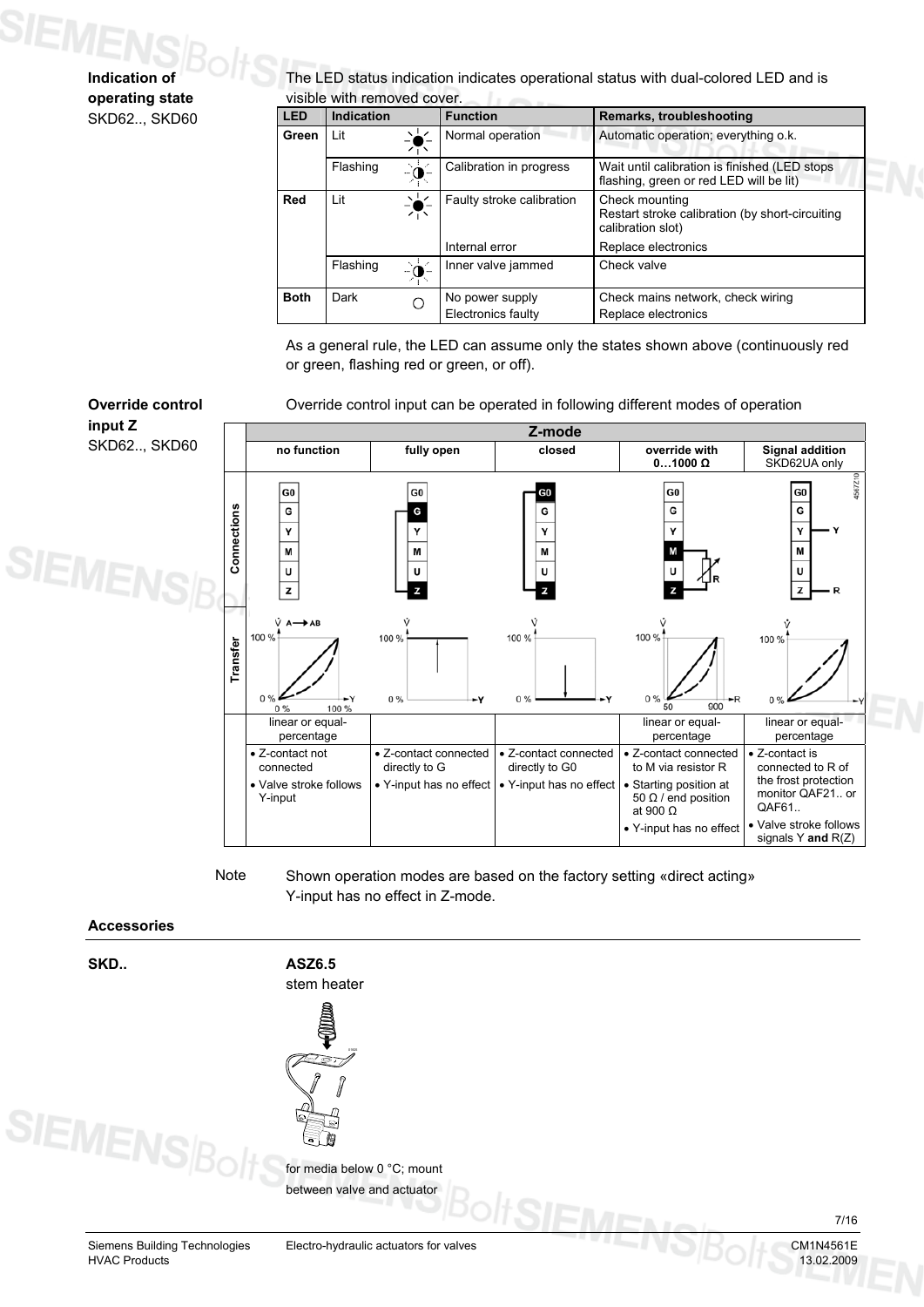### **Indication of operating state** SKD62.., SKD60

The LED status indication indicates operational status with dual-colored LED and is visible with removed cover.

| <b>LED</b>  | <b>Indication</b> |     | <b>Function</b>           | Remarks, troubleshooting                                                                 |
|-------------|-------------------|-----|---------------------------|------------------------------------------------------------------------------------------|
| Green       | Lit               |     | Normal operation          | Automatic operation; everything o.k.                                                     |
|             | Flashing          | - o | Calibration in progress   | Wait until calibration is finished (LED stops<br>flashing, green or red LED will be lit) |
| Red         | Lit               |     | Faulty stroke calibration | Check mounting<br>Restart stroke calibration (by short-circuiting<br>calibration slot)   |
|             |                   |     | Internal error            | Replace electronics                                                                      |
|             | Flashing          | . പ | Inner valve jammed        | Check valve                                                                              |
| <b>Both</b> | Dark              | С   | No power supply           | Check mains network, check wiring                                                        |
|             |                   |     | Electronics faulty        | Replace electronics                                                                      |

As a general rule, the LED can assume only the states shown above (continuously red or green, flashing red or green, or off).

Override control input can be operated in following different modes of operation



Shown operation modes are based on the factory setting «direct acting» Y-input has no effect in Z-mode. Note

### **Accessories**

**SKD..** 

SIEMENS





Siemens Building Technologies Electro-hydraulic actuators for valves CM1N4561E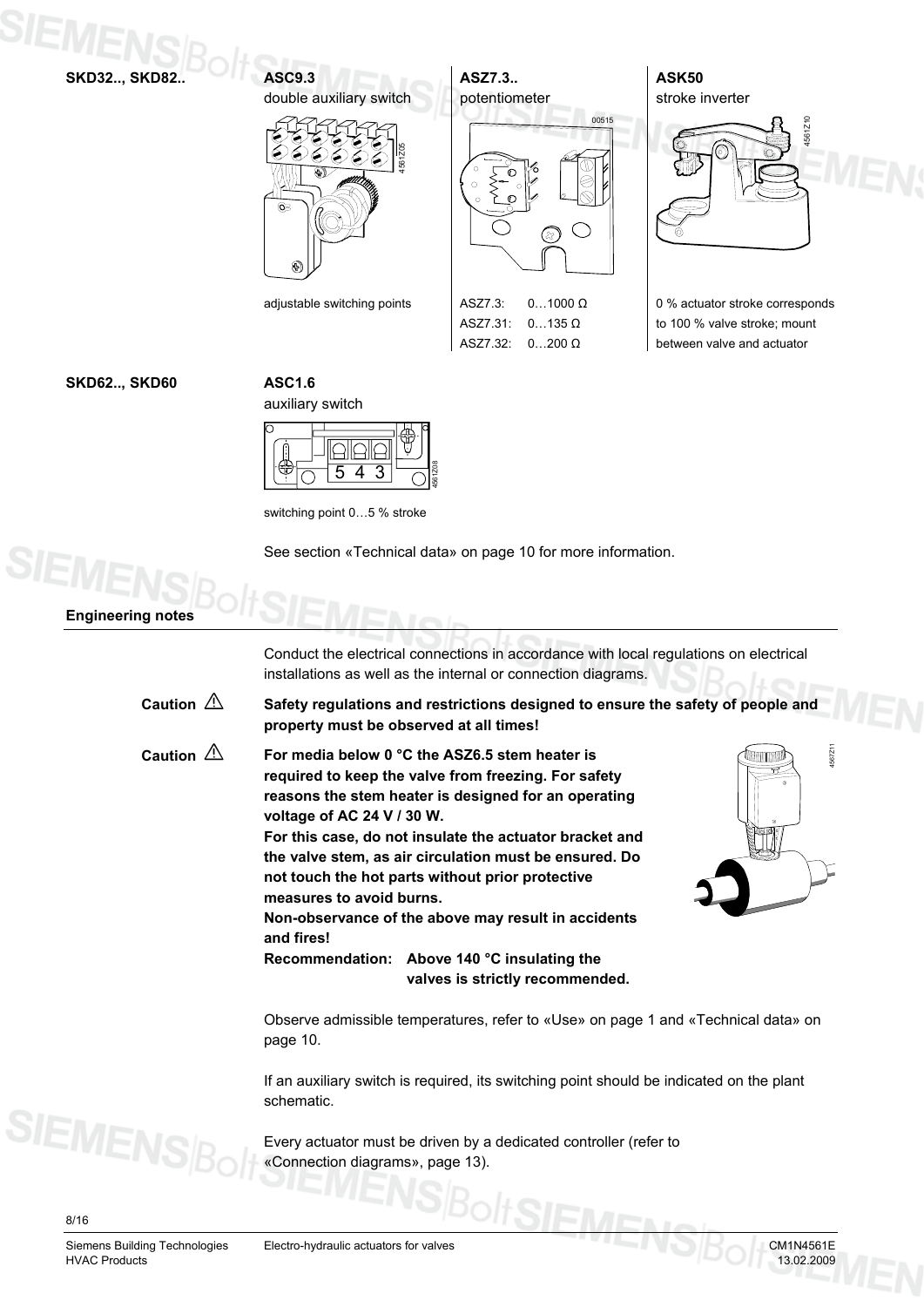**SKD32.., SKD82..** 

**ASC9.3**  double auxiliary switch 4561Z05  $\mathbb{G}$ 



ASZ7.31: 0…135 Ω ASZ7.32: 0…200 Ω **ASK50**  stroke inverter

4561Z10

0 % actuator stroke corresponds to 100 % valve stroke; mount between valve and actuator

### **SKD62.., SKD60**

**ASC1.6** 



switching point 0…5 % stroke

See section «Technical data» on page 10 for more information.

### **Engineering notes**

Conduct the electrical connections in accordance with local regulations on electrical installations as well as the internal or connection diagrams.

| Caution $\triangle$ | Safety regulations and restrictions designed to ensure the safety of people and<br>property must be observed at all times!                                                                                                                                                                                                                                                                                                                                                                                                                                          |
|---------------------|---------------------------------------------------------------------------------------------------------------------------------------------------------------------------------------------------------------------------------------------------------------------------------------------------------------------------------------------------------------------------------------------------------------------------------------------------------------------------------------------------------------------------------------------------------------------|
| Caution $\triangle$ | 4567Z11<br>For media below 0 °C the ASZ6.5 stem heater is<br>required to keep the valve from freezing. For safety<br>reasons the stem heater is designed for an operating<br>voltage of AC 24 V / 30 W.<br>For this case, do not insulate the actuator bracket and<br>the valve stem, as air circulation must be ensured. Do<br>not touch the hot parts without prior protective<br>measures to avoid burns.<br>Non-observance of the above may result in accidents<br>and fires!<br>Recommendation: Above 140 °C insulating the<br>valves is strictly recommended. |
|                     | Observe admissible temperatures, refer to «Llse» on nage 1 and «Technical data» on                                                                                                                                                                                                                                                                                                                                                                                                                                                                                  |

Observe admissible temperatures, refer to «Use» on page 1 and «Technical data» on page 10.

If an auxiliary switch is required, its switching point should be indicated on the plant schematic.

Every actuator must be driven by a dedicated controller (refer to «Connection diagrams», page 13).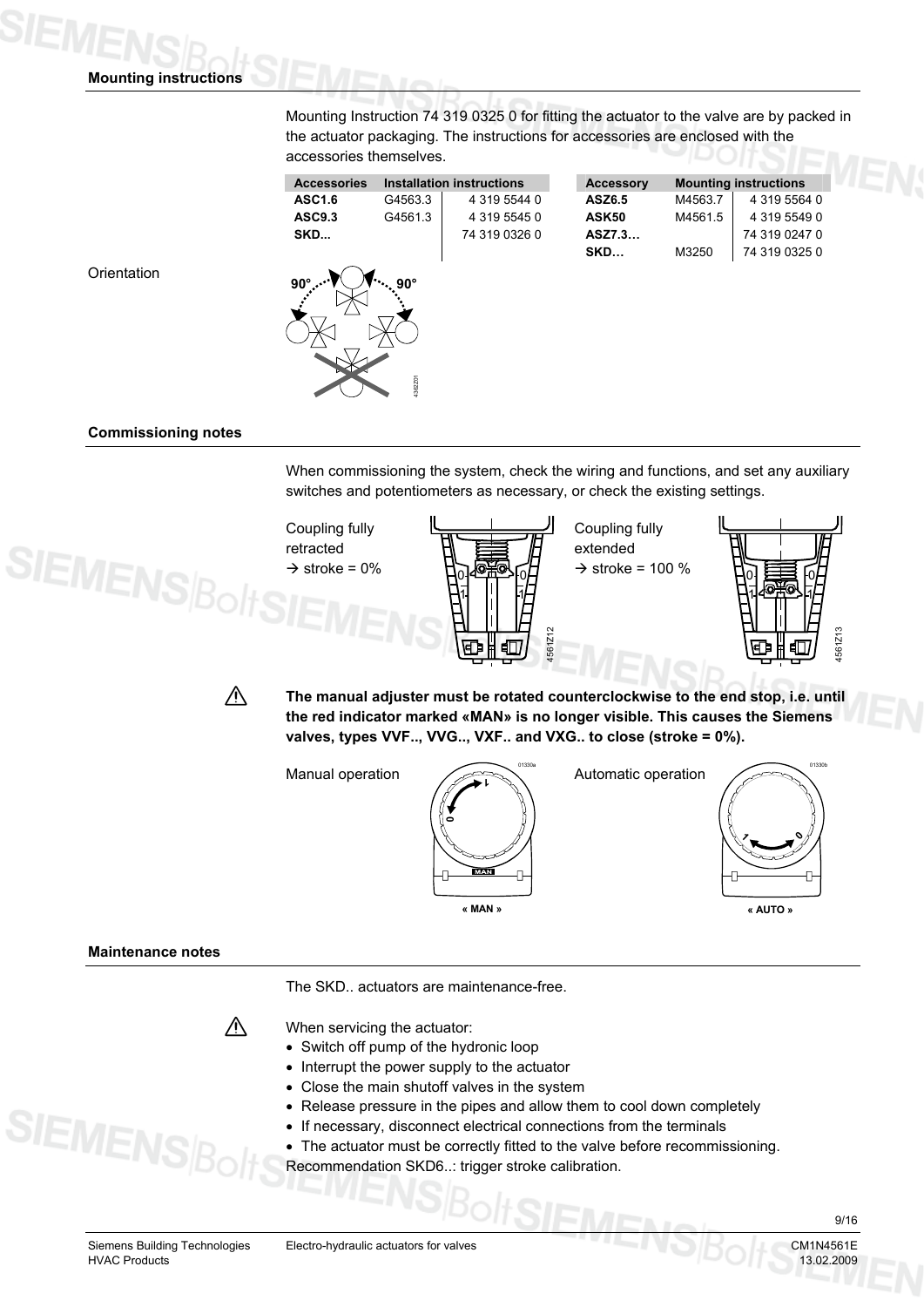**Mounting instructions** 

Mounting Instruction 74 319 0325 0 for fitting the actuator to the valve are by packed in the actuator packaging. The instructions for accessories are enclosed with the accessories themselves.

| <b>Accessories</b> |                       | <b>Installation instructions</b> | <b>Accessory</b> |         | <b>Mounting instructions</b> |
|--------------------|-----------------------|----------------------------------|------------------|---------|------------------------------|
| <b>ASC1.6</b>      | G4563.3               | 4 319 5544 0                     | ASZ6.5           | M4563.7 | 4 319 5564 0                 |
| ASC9.3             | G4561.3               | 4 319 5545 0                     | ASK50            | M4561.5 | 4 319 5549 0                 |
| SKD                |                       | 74 319 0326 0                    | ASZ7.3           |         | 74 319 0247 0                |
|                    |                       |                                  | SKD              | M3250   | 74 319 0325 0                |
| $90^\circ$         | $90^\circ$<br>4362201 |                                  |                  |         |                              |

**Orientation** 

### **Commissioning notes**

When commissioning the system, check the wiring and functions, and set any auxiliary switches and potentiometers as necessary, or check the existing settings.



**The manual adjuster must be rotated counterclockwise to the end stop, i.e. until the red indicator marked «MAN» is no longer visible. This causes the Siemens valves, types VVF.., VVG.., VXF.. and VXG.. to close (stroke = 0%).** 

Manual operation





**« AUTO »**

### **Maintenance notes**

The SKD.. actuators are maintenance-free.



When servicing the actuator:

- Switch off pump of the hydronic loop
- Interrupt the power supply to the actuator
- Close the main shutoff valves in the system
- Release pressure in the pipes and allow them to cool down completely
- If necessary, disconnect electrical connections from the terminals
- The actuator must be correctly fitted to the valve before recommissioning.
- Recommendation SKD6..: trigger stroke calibration.

**SIEMEN** 

9/16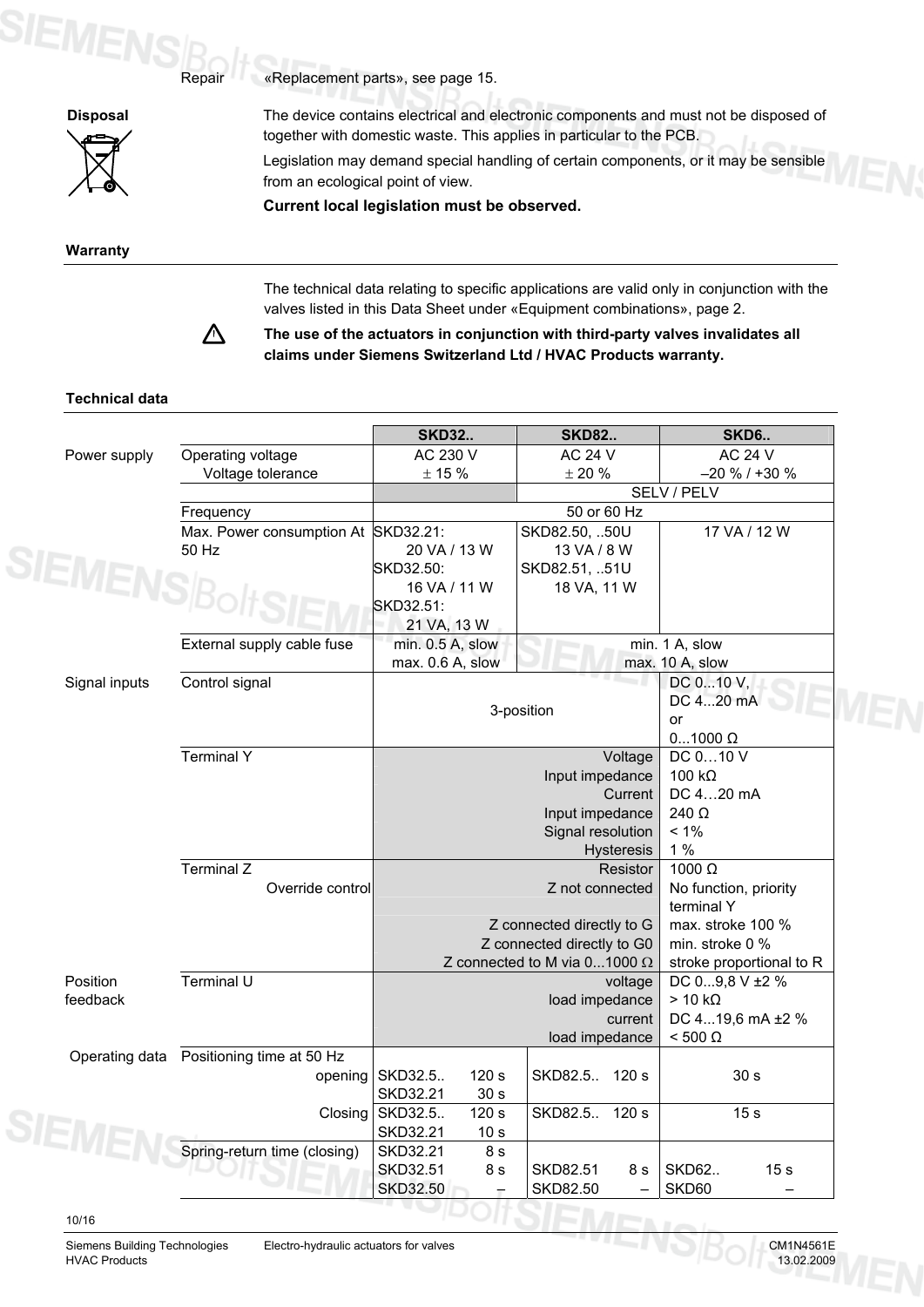

**SIEMENS** 

«Replacement parts», see page 15.

**Disposal** The device contains electrical and electronic components and must not be disposed of together with domestic waste. This applies in particular to the PCB.

> Legislation may demand special handling of certain components, or it may be sensible from an ecological point of view.

**Current local legislation must be observed.**

**Warranty** 

The technical data relating to specific applications are valid only in conjunction with the valves listed in this Data Sheet under «Equipment combinations», page 2.



Repair

**The use of the actuators in conjunction with third-party valves invalidates all claims under Siemens Switzerland Ltd / HVAC Products warranty.** 

### **Technical data**

|                 |                                          | <b>SKD32</b>                | <b>SKD82</b>                                   | <b>SKD6</b>                     |
|-----------------|------------------------------------------|-----------------------------|------------------------------------------------|---------------------------------|
| Power supply    | Operating voltage                        | AC 230 V                    | <b>AC 24 V</b>                                 | <b>AC 24 V</b>                  |
|                 | Voltage tolerance                        | $\pm$ 15 %                  | $\pm$ 20 $\%$                                  | $-20 \%$ / +30 %                |
|                 |                                          |                             | SELV / PELV                                    |                                 |
|                 | Frequency                                |                             | 50 or 60 Hz                                    |                                 |
|                 | Max. Power consumption At                | SKD32.21:                   | SKD82.50, 50U                                  | 17 VA / 12 W                    |
|                 | 50 Hz                                    | 20 VA / 13 W                | 13 VA / 8 W                                    |                                 |
|                 |                                          | SKD32.50:                   | SKD82.51, 51U                                  |                                 |
| <b>IEMENSBo</b> |                                          | 16 VA / 11 W                | 18 VA, 11 W                                    |                                 |
|                 |                                          | SKD32.51:                   |                                                |                                 |
|                 |                                          | 21 VA, 13 W                 |                                                |                                 |
|                 | External supply cable fuse               | min. 0.5 A, slow            |                                                | min. 1 A, slow                  |
|                 |                                          | max. 0.6 A, slow            |                                                | max. 10 A, slow                 |
| Signal inputs   | Control signal                           |                             |                                                | DC 010 V,                       |
|                 |                                          |                             | 3-position                                     | DC 420 mA                       |
|                 |                                          |                             |                                                | or                              |
|                 |                                          |                             | Voltage                                        | $01000 \Omega$                  |
|                 | <b>Terminal Y</b>                        |                             | DC 010 V                                       |                                 |
|                 |                                          |                             | Input impedance<br>Current                     | 100 $k\Omega$                   |
|                 |                                          |                             | DC 420 mA                                      |                                 |
|                 |                                          |                             | 240 Ω                                          |                                 |
|                 |                                          |                             | $< 1\%$                                        |                                 |
|                 |                                          |                             | 1%                                             |                                 |
|                 | <b>Terminal Z</b>                        |                             | 1000 Ω                                         |                                 |
|                 | Override control                         |                             | Z not connected                                | No function, priority           |
|                 |                                          |                             | Z connected directly to G                      | terminal Y                      |
|                 |                                          |                             | max. stroke 100 %                              |                                 |
|                 |                                          | Z connected directly to G0  | min. stroke 0 %<br>stroke proportional to R    |                                 |
| Position        | Terminal U                               |                             | Z connected to M via $01000 \Omega$<br>voltage | DC 09,8 V ±2 %                  |
| feedback        |                                          |                             | load impedance                                 | $> 10 k\Omega$                  |
|                 |                                          |                             | current                                        | DC 419,6 mA ±2 %                |
|                 |                                          |                             | load impedance                                 | $< 500 \Omega$                  |
|                 | Operating data Positioning time at 50 Hz |                             |                                                |                                 |
|                 | opening                                  | SKD32.5<br>120 <sub>s</sub> | SKD82.5 120 s                                  | 30 <sub>s</sub>                 |
|                 |                                          | SKD32.21<br>30 <sub>s</sub> |                                                |                                 |
|                 | Closing                                  | SKD32.5<br>120 s            | SKD82.5.<br>120 <sub>s</sub>                   | 15 <sub>s</sub>                 |
| <b>IEMEI</b>    |                                          | SKD32.21<br>10 <sub>s</sub> |                                                |                                 |
|                 | Spring-return time (closing)             | SKD32.21<br>8 s             |                                                |                                 |
|                 |                                          | SKD32.51<br>8 s             | <b>SKD82.51</b><br>8 s                         | <b>SKD62</b><br>15 <sub>s</sub> |
|                 |                                          | <b>SKD32.50</b>             | SKD82.50                                       | SKD60                           |
|                 |                                          |                             |                                                |                                 |
| 10/16           |                                          |                             |                                                | $\mathbf{I}$ and $\mathbf{I}$   |



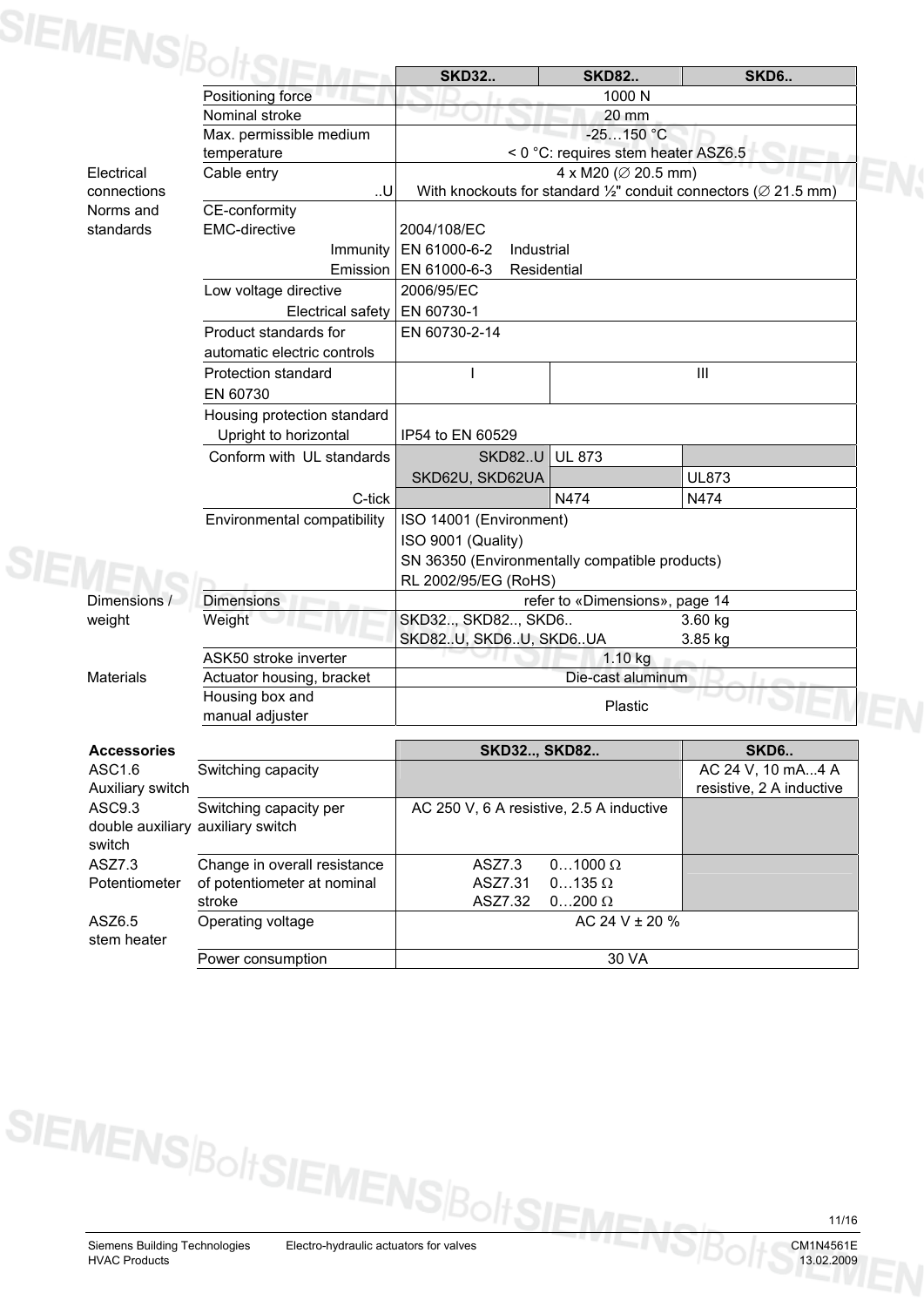| <b>SIEMENS</b> E      |                                   | <b>SKD32</b>                                                                            | <b>SKD82</b>                        | <b>SKD6</b>              |  |
|-----------------------|-----------------------------------|-----------------------------------------------------------------------------------------|-------------------------------------|--------------------------|--|
|                       | Positioning force                 |                                                                                         | 1000 N                              |                          |  |
|                       | Nominal stroke                    |                                                                                         | 20 mm                               |                          |  |
|                       | Max. permissible medium           |                                                                                         | $-25150 °C$                         |                          |  |
|                       | temperature                       |                                                                                         | < 0 °C: requires stem heater ASZ6.5 |                          |  |
| Electrical            | Cable entry                       | 4 x M20 ( $\varnothing$ 20.5 mm)                                                        |                                     |                          |  |
| connections           | U                                 | With knockouts for standard $\frac{1}{2}$ " conduit connectors ( $\varnothing$ 21.5 mm) |                                     |                          |  |
| Norms and             | CE-conformity                     |                                                                                         |                                     |                          |  |
| standards             | <b>EMC-directive</b>              | 2004/108/EC                                                                             |                                     |                          |  |
|                       | Immunity                          | EN 61000-6-2<br>Industrial                                                              |                                     |                          |  |
|                       |                                   | Emission   EN 61000-6-3<br>Residential                                                  |                                     |                          |  |
|                       | Low voltage directive             | 2006/95/EC                                                                              |                                     |                          |  |
|                       | Electrical safety                 | EN 60730-1                                                                              |                                     |                          |  |
|                       | Product standards for             | EN 60730-2-14                                                                           |                                     |                          |  |
|                       | automatic electric controls       |                                                                                         |                                     |                          |  |
|                       | Protection standard               |                                                                                         |                                     | $\mathbf{III}$           |  |
|                       | EN 60730                          |                                                                                         |                                     |                          |  |
|                       | Housing protection standard       |                                                                                         |                                     |                          |  |
|                       | Upright to horizontal             | IP54 to EN 60529                                                                        |                                     |                          |  |
|                       | Conform with UL standards         | <b>SKD82U</b>                                                                           | <b>UL 873</b>                       |                          |  |
|                       |                                   | SKD62U, SKD62UA                                                                         |                                     | <b>UL873</b>             |  |
|                       | C-tick                            |                                                                                         | N474                                | N474                     |  |
|                       | Environmental compatibility       | ISO 14001 (Environment)                                                                 |                                     |                          |  |
|                       |                                   | ISO 9001 (Quality)                                                                      |                                     |                          |  |
|                       |                                   | SN 36350 (Environmentally compatible products)                                          |                                     |                          |  |
|                       |                                   | RL 2002/95/EG (RoHS)                                                                    |                                     |                          |  |
| Dimensions /          | <b>Dimensions</b>                 |                                                                                         | refer to «Dimensions», page 14      |                          |  |
| weight                | Weight                            | SKD32, SKD82, SKD6<br>3.60 kg                                                           |                                     |                          |  |
|                       |                                   | SKD82U, SKD6U, SKD6UA<br>3.85 kg                                                        |                                     |                          |  |
|                       | ASK50 stroke inverter             | 1.10 kg                                                                                 |                                     |                          |  |
| <b>Materials</b>      | Actuator housing, bracket         | Die-cast aluminum                                                                       |                                     |                          |  |
|                       | Housing box and                   | Plastic                                                                                 |                                     |                          |  |
|                       | manual adjuster                   |                                                                                         |                                     |                          |  |
| <b>Accessories</b>    |                                   | <b>SKD32, SKD82</b>                                                                     |                                     | SKD6                     |  |
| ASC1.6                | Switching capacity                |                                                                                         |                                     | AC 24 V, 10 mA4 A        |  |
| Auxiliary switch      |                                   |                                                                                         |                                     | resistive, 2 A inductive |  |
| ASC9.3                | Switching capacity per            | AC 250 V, 6 A resistive, 2.5 A inductive                                                |                                     |                          |  |
| switch                | double auxiliary auxiliary switch |                                                                                         |                                     |                          |  |
|                       | Change in overall resistance      | ASZ7.3                                                                                  | $01000 \Omega$                      |                          |  |
| ASZ7.3                |                                   |                                                                                         |                                     |                          |  |
| Potentiometer         | of potentiometer at nominal       | ASZ7.31                                                                                 | $0135 \Omega$                       |                          |  |
|                       | stroke                            | ASZ7.32                                                                                 | $0200 \Omega$                       |                          |  |
| ASZ6.5<br>stem heater | Operating voltage                 |                                                                                         | AC 24 V ± 20 %                      |                          |  |
|                       | Power consumption                 |                                                                                         | 30 VA                               |                          |  |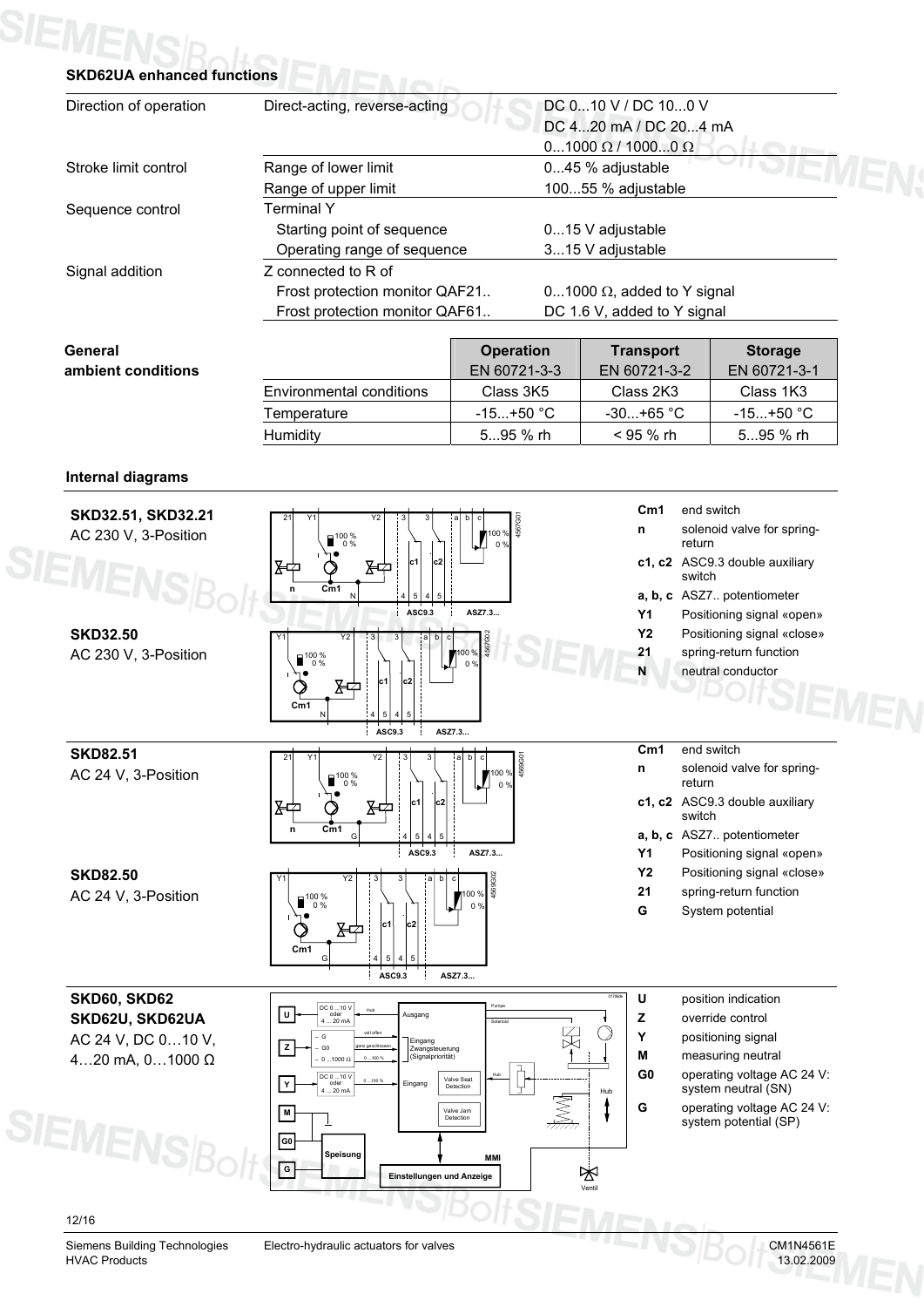### **SIEMENS** Botter

| Direction of operation   | DC 010 V / DC 100 V<br>Direct-acting, reverse-acting<br>DC 420 mA / DC 204 mA |                        |                                    |                                |  |
|--------------------------|-------------------------------------------------------------------------------|------------------------|------------------------------------|--------------------------------|--|
|                          |                                                                               |                        | $01000$ Ω / 10000 Ω                |                                |  |
| Stroke limit control     | Range of lower limit                                                          |                        | 045 % adjustable                   |                                |  |
|                          | Range of upper limit                                                          |                        | 10055 % adjustable                 |                                |  |
| Sequence control         | <b>Terminal Y</b>                                                             |                        |                                    |                                |  |
|                          | Starting point of sequence                                                    |                        | 015 V adjustable                   |                                |  |
|                          | Operating range of sequence                                                   |                        | 315 V adjustable                   |                                |  |
| Signal addition          | Z connected to R of                                                           |                        |                                    |                                |  |
|                          | Frost protection monitor QAF21                                                |                        | 01000 $\Omega$ , added to Y signal |                                |  |
|                          | Frost protection monitor QAF61                                                |                        | DC 1.6 V, added to Y signal        |                                |  |
|                          |                                                                               |                        |                                    |                                |  |
| General                  |                                                                               | <b>Operation</b>       | <b>Transport</b>                   | <b>Storage</b>                 |  |
| ambient conditions       |                                                                               | EN 60721-3-3           | EN 60721-3-2                       | EN 60721-3-1                   |  |
|                          | <b>Environmental conditions</b>                                               | Class 3K5              | Class 2K3                          | Class 1K3                      |  |
|                          | Temperature                                                                   | $-15+50$ °C            | $-30+65$ °C                        | $-15+50$ °C                    |  |
|                          | Humidity                                                                      | 595 % rh               | < 95 % rh                          | 595 % rh                       |  |
|                          |                                                                               |                        |                                    |                                |  |
| <b>Internal diagrams</b> |                                                                               |                        |                                    |                                |  |
| SKD32.51, SKD32.21       |                                                                               |                        | Cm1                                | end switch                     |  |
| AC 230 V, 3-Position     | Y2<br>Y1                                                                      | 4567G0<br>00 %         | n                                  | solenoid valve for spring-     |  |
|                          | $\begin{array}{r} 100\text{ }\% \\ 0\text{ }\% \end{array}$                   | 0 <sup>o</sup>         | return                             |                                |  |
| <b>SIEMEN</b>            | c1<br>Хф<br>lc2<br>Ю≢                                                         |                        | switch                             | c1, c2 ASC9.3 double auxiliary |  |
|                          | Cm1<br>n                                                                      |                        |                                    | a, b, c ASZ7 potentiometer     |  |
|                          | ASC9.3                                                                        | ASZ7.3                 | Υ1                                 | Positioning signal «open»      |  |
| <b>SKD32.50</b>          | Y1<br><b>Y2</b>                                                               |                        | <b>Y2</b>                          | Positioning signal «close»     |  |
| AC 230 V, 3-Position     | $\Box^{100\%}_{0\%}$                                                          | $\frac{1}{\sqrt{100}}$ | 21                                 | spring-return function         |  |
|                          |                                                                               |                        | N                                  | neutral conductor              |  |
|                          | с1<br>Ю≢                                                                      |                        |                                    |                                |  |
|                          | Cm1                                                                           |                        |                                    |                                |  |
|                          | ASC9.3                                                                        | ASZ7.3                 |                                    |                                |  |
| <b>SKD82.51</b>          | 2 <sup>1</sup><br>Υ1<br>Υ2                                                    | b<br>c                 | Cm1                                | end switch                     |  |
| AC 24 V, 3-Position      | $\Box^{100\%}_{0\%}$                                                          | င <br> ¶100 % နီ<br>0% | n<br>return                        | solenoid valve for spring-     |  |
|                          | c2                                                                            |                        |                                    | c1, c2 ASC9.3 double auxiliary |  |
|                          | Σ≠<br>Σ₩                                                                      |                        | switch                             |                                |  |
|                          | C <sub>m1</sub><br>n                                                          |                        |                                    | a, b, c ASZ7 potentiometer     |  |
|                          | ASC9.3                                                                        | ASZ7.3                 | <b>Y1</b>                          | Positioning signal «open»      |  |
| <b>SKD82.50</b>          | Y1<br>Y2                                                                      | 4569G02                | <b>Y2</b>                          | Positioning signal «close»     |  |
| AC 24 V, 3-Position      | $\blacksquare$ <sup>100</sup> %                                               | 100%<br>0 <sup>9</sup> | 21                                 | spring-return function         |  |
|                          | c2 <br>c1                                                                     |                        | G                                  | System potential               |  |
|                          | Σ⊄                                                                            |                        |                                    |                                |  |
|                          | Cm1                                                                           |                        |                                    |                                |  |
|                          | ASC9.3                                                                        | ASZ7.3                 |                                    |                                |  |
| <b>SKD60, SKD62</b>      | DC 0 10 V<br>oder<br>4  20 mA<br>Hub                                          | Pumpe                  | $\mathsf{U}$<br>01706de            | position indication            |  |
| SKD62U. SKD62UA          | $\overline{u}$<br>Ausgang                                                     | Solenoid               | z                                  | override control               |  |

2U, S AC 24 V, DC 0…10 V, 4…20 mA, 0…1000 Ω



- 
- **Y** positioning signal
- **M** measuring neutral
- **G0** operating voltage AC 24 V: system neutral (SN)
- **G** operating voltage AC 24 V: system potential (SP)

### 12/16

**SIEMENS**B

Siemens Building Technologies Electro-hydraulic actuators for valves<br>
HVAC Products 13.02.2009 **HVAC Products**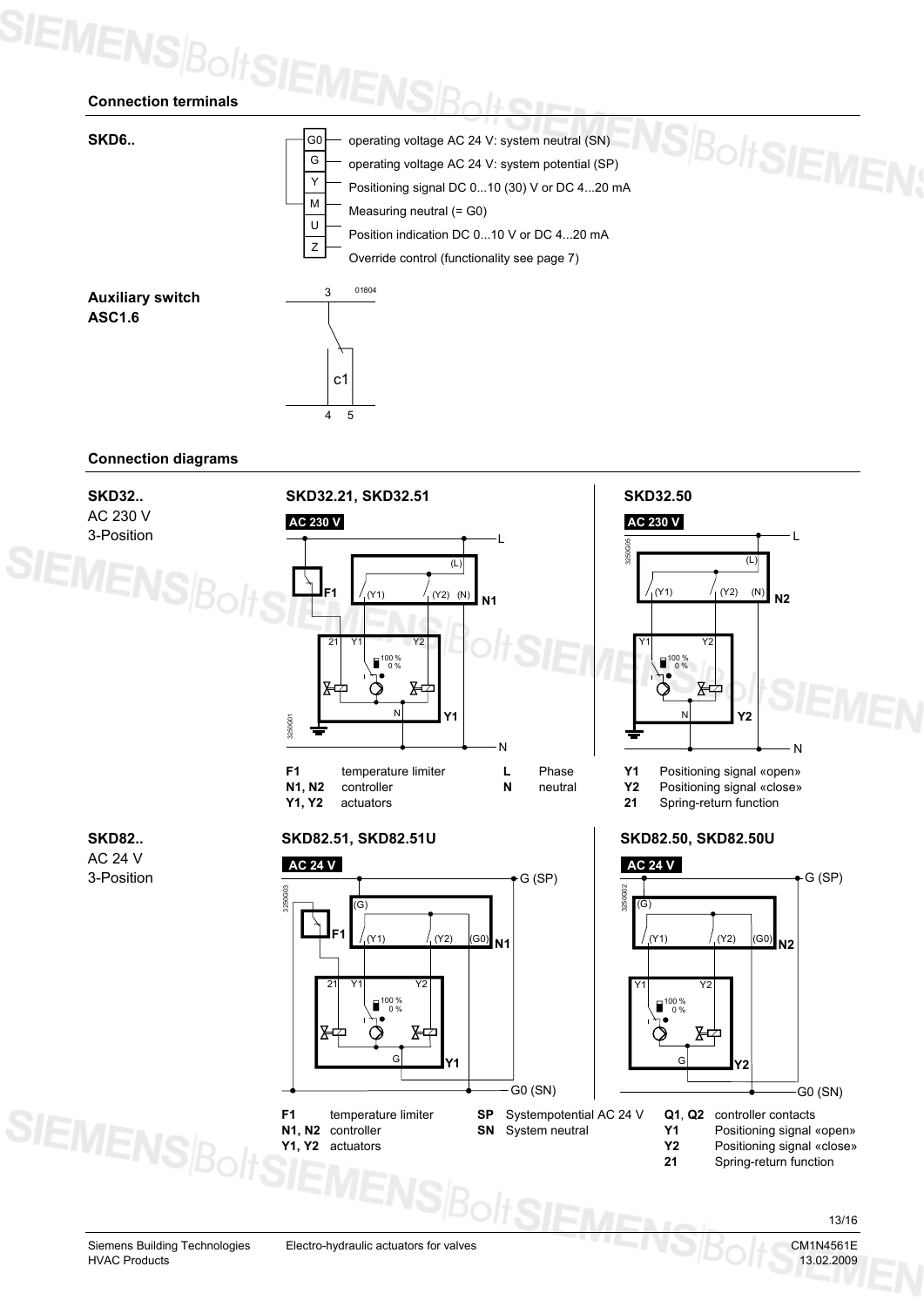## **SIEMENSBoltSIE**



### **Connection diagrams**

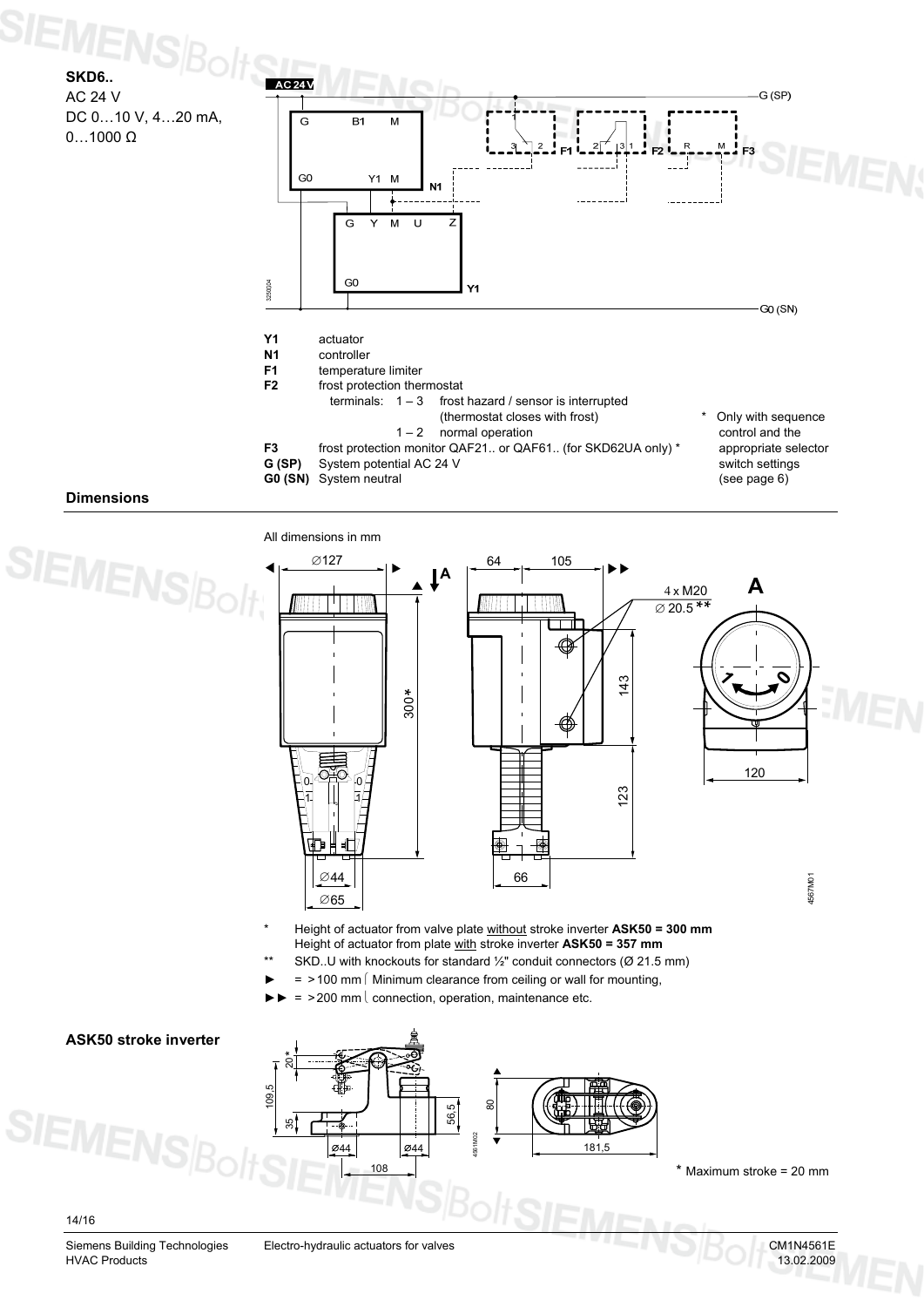### **SIEMENS SKD6..**   $AC<sub>24</sub>$ AC 24 V G (SP) DC 0…10 V, 4…20 mA, G B<sub>1</sub>  $\sf M$  $0...1000 \Omega$  $G<sub>0</sub>$  $Y1$  M N<sub>1</sub> . . . . ਹ  $\overline{M}$  $\overline{z}$ G Y  $G<sub>0</sub>$ 3250G04  $\overline{1}$ G0 (SN) **Y1** actuator **N1** controller

**F1 temperature limiter**<br>**F2 frost protection then** 

**G (SP)** System potential AC 24 V

**G0 (SN)** System neutral

- frost protection thermostat<br>terminals:  $1 3$  frost
	- frost hazard / sensor is interrupted
	- (thermostat closes with frost)  $1 - 2$  normal operation

**F3** frost protection monitor QAF21.. or QAF61.. (for SKD62UA only) \*

Only with sequence control and the appropriate selector switch settings (see page 6)

### **Dimensions**

**SIEMENS** 

All dimensions in mm  $\varnothing$ 127 (a. 105 **A A** 4 x M20 WITT TITW TIVM \* \* ∅ 20.5 143  $\boldsymbol{z}$ **0**300 \* 120 0 0 123 1 1 伸 旷 66 44 ∅ 4567M01 65 ∅

- \* Height of actuator from valve plate without stroke inverter **ASK50 = 300 mm**  Height of actuator from plate with stroke inverter **ASK50 = 357 mm**
- SKD..U with knockouts for standard  $\frac{1}{2}$ " conduit connectors (Ø 21.5 mm)
- $=$  >100 mm  $\lceil$  Minimum clearance from ceiling or wall for mounting,
- $=$  >200 mm  $\vert$  connection, operation, maintenance etc.

### **ASK50 stroke inverter**

### 109,5 55  $044$ 56,5 108 181 80 **Ø44** 4561M02

\* Maximum stroke = 20 mm

14/16

**SIEM!** 

Siemens Building Technologies Electro-hydraulic actuators for valves CM1N4561E<br>
HVAC Products 13.02.2009 HVAC Products 13.02.2009

20\*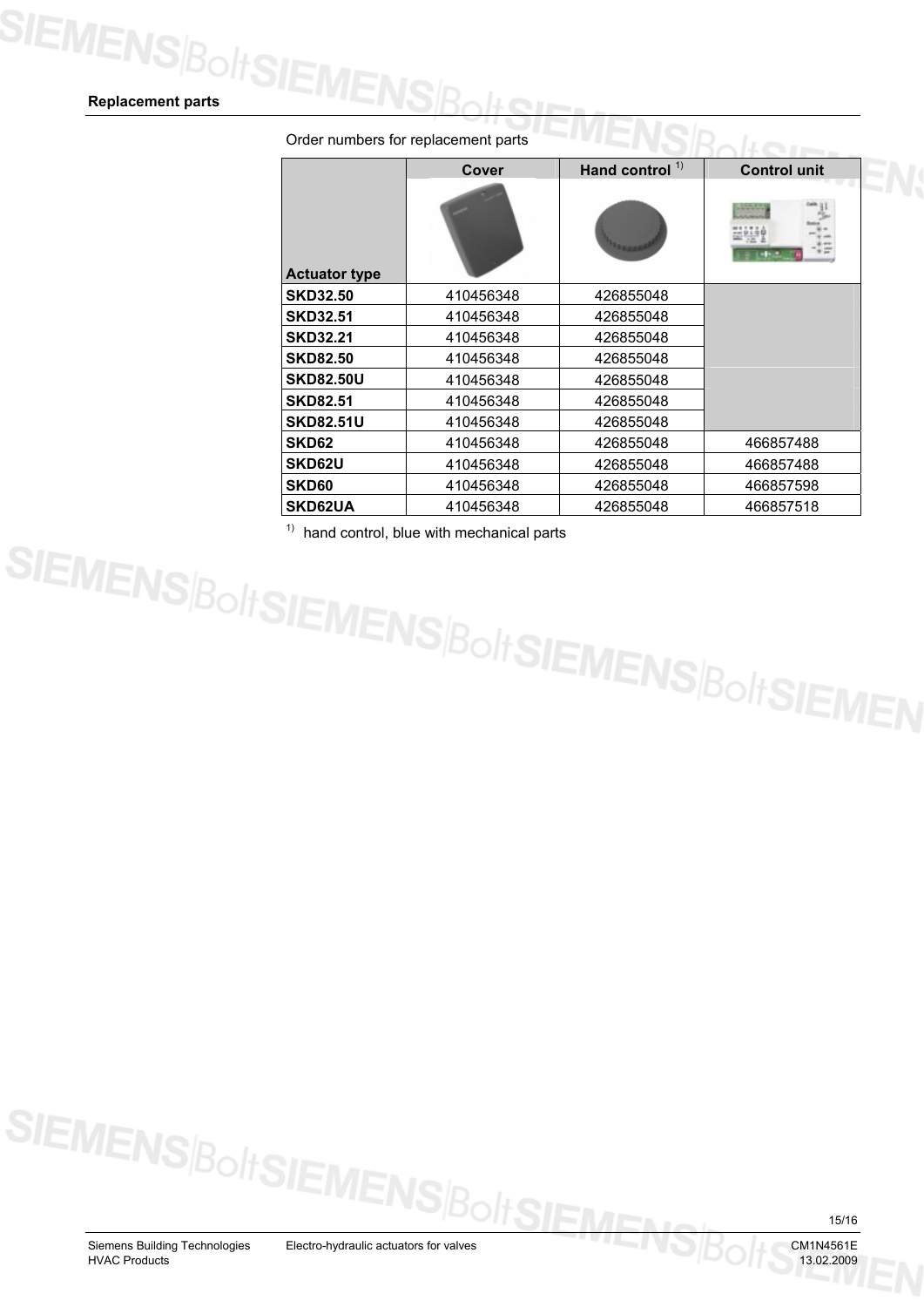### **Replacement parts**

|                      | Cover     | Hand control $1$ | <b>Control unit</b> |  |
|----------------------|-----------|------------------|---------------------|--|
| <b>Actuator type</b> |           |                  |                     |  |
| <b>SKD32.50</b>      | 410456348 | 426855048        |                     |  |
| <b>SKD32.51</b>      | 410456348 | 426855048        |                     |  |
| <b>SKD32.21</b>      | 410456348 | 426855048        |                     |  |
| <b>SKD82.50</b>      | 410456348 | 426855048        |                     |  |
| <b>SKD82.50U</b>     | 410456348 | 426855048        |                     |  |
| <b>SKD82.51</b>      | 410456348 | 426855048        |                     |  |
| <b>SKD82.51U</b>     | 410456348 | 426855048        |                     |  |
| SKD62                | 410456348 | 426855048        | 466857488           |  |
| SKD62U               | 410456348 | 426855048        | 466857488           |  |
| <b>SKD60</b>         | 410456348 | 426855048        | 466857598           |  |
| <b>SKD62UA</b>       | 410456348 | 426855048        | 466857518           |  |

Order numbers for replacement parts

<sup>9</sup> hand control, blue with mechanical parts<br>SIEMENS $\beta$ O/I SIEMENS $\beta$ O/I SIEMENS $\beta$ O/I SIEMEN

15/16